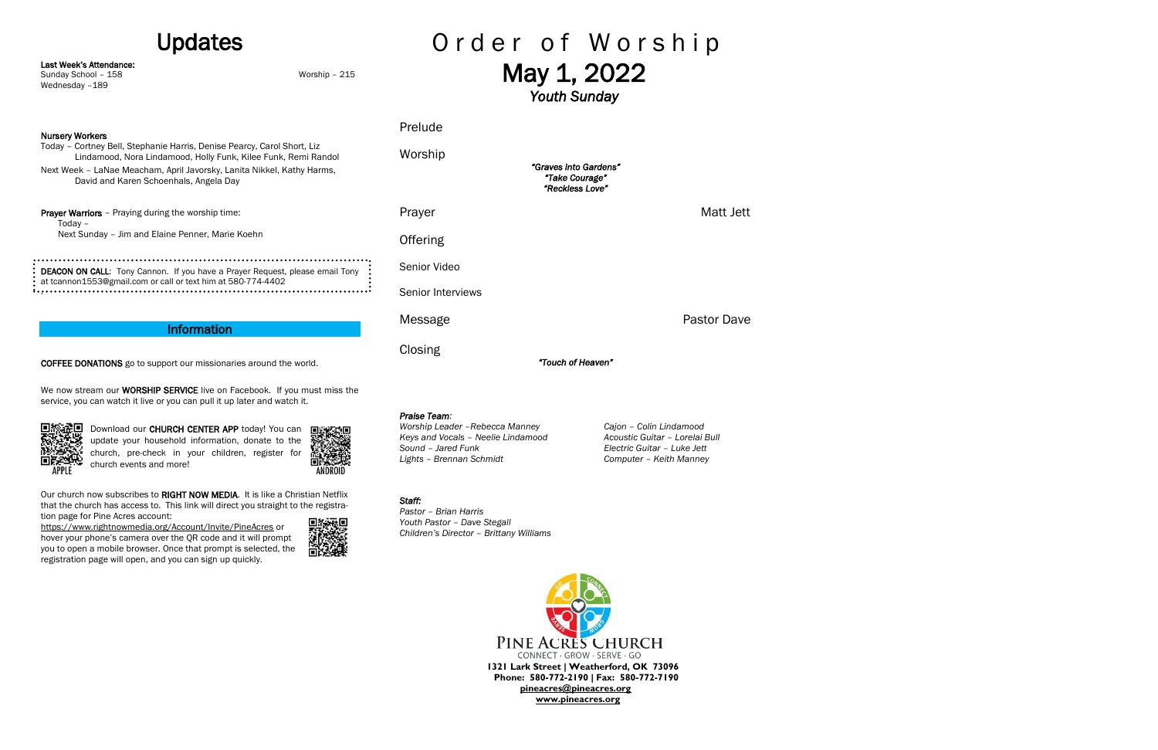# Updates

Last Week's Attendance:

Sunday School – 158 Worship – 215

### Nursery Workers

Wednesday -189

Today – Cortney Bell, Stephanie Harris, Denise Pearcy, Carol Short, Liz Lindamood, Nora Lindamood, Holly Funk, Kilee Funk, Remi Randol Next Week – LaNae Meacham, April Javorsky, Lanita Nikkel, Kathy Harms, David and Karen Schoenhals, Angela Day

Prayer Warriors - Praying during the worship time: Today – Next Sunday – Jim and Elaine Penner, Marie Koehn

DEACON ON CALL: Tony Cannon. If you have a Prayer Request, please email Tony at tcannon1553@gmail.com or call or text him at 580-774-4402 .

We now stream our **WORSHIP SERVICE** live on Facebook. If you must miss the service, you can watch it live or you can pull it up later and watch it.



**回旅通回** Download our CHURCH CENTER APP today! You can update your household information, donate to the church, pre-check in your children, register for church events and more!



Our church now subscribes to RIGHT NOW MEDIA. It is like a Christian Netflix that the church has access to. This link will direct you straight to the registration page for Pine Acres account:

# Information

COFFEE DONATIONS go to support our missionaries around the world.

# Order of Worship May 1, 2022

<https://www.rightnowmedia.org/Account/Invite/PineAcres> or hover your phone's camera over the QR code and it will prompt you to open a mobile browser. Once that prompt is selected, the registration page will open, and you can sign up quickly.



*Youth Sunday* 

Prelude

Worship

**Offering** 

**Closing** 

*"Graves into Gardens" "Take Courage" "Reckless Love"* 

Prayer Matt Jett

Senior Video

Senior Interviews

*"Touch of Heaven"* 

Message **Pastor Dave Pastor Dave** 

*Praise Team:*

*Worship Leader –Rebecca Manney Cajon – Colin Lindamood*

*Keys and Vocals – Neelie Lindamood Acoustic Guitar – Lorelai Bull Sound – Jared Funk Electric Guitar – Luke Jett Lights – Brennan Schmidt Computer – Keith Manney*

## *Staff:*

*Pastor – Brian Harris Youth Pastor – Dave Stegall Children's Director – Brittany Williams*